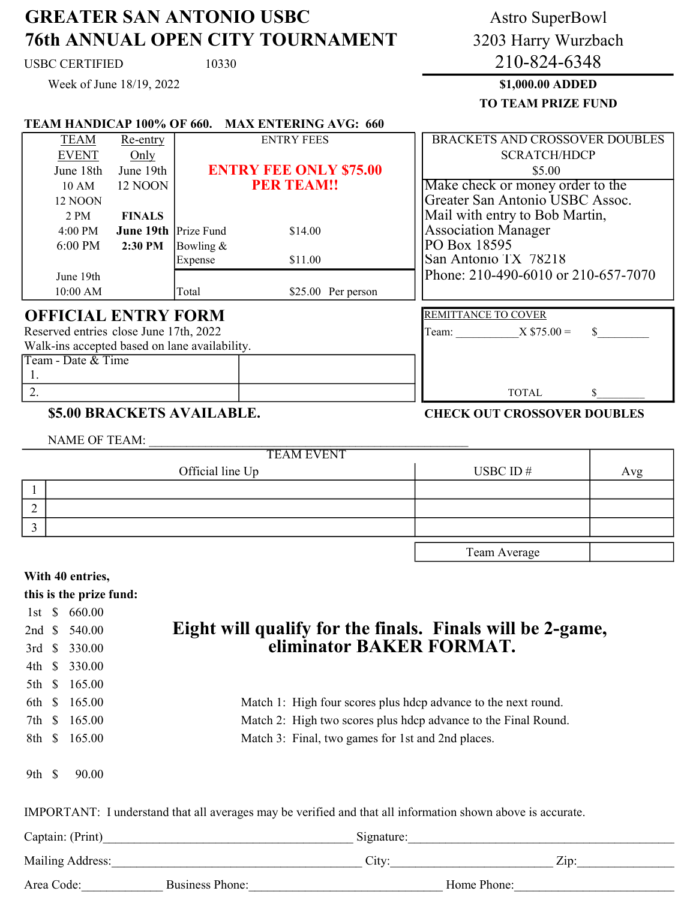# GREATER SAN ANTONIO USBC Astro SuperBowl 76th ANNUAL OPEN CITY TOURNAMENT 3203 Harry Wurzbach

USBC CERTIFIED 10330 210-824-6348

TO TEAM PRIZE FUND

Week of June 18/19, 2022 **\$1,000.00 ADDED** 

#### TEAM HANDICAP 100% OF 660. MAX ENTERING AVG: 660

| <b>TEAM</b>                                   | Re-entry                    |             | <b>ENTRY FEES</b>             |  | <b>BRACKETS AND CROSSOVER DOUBLES</b> |
|-----------------------------------------------|-----------------------------|-------------|-------------------------------|--|---------------------------------------|
| <b>EVENT</b>                                  | Only                        |             |                               |  | <b>SCRATCH/HDCP</b>                   |
| June 18th                                     | June 19th                   |             | <b>ENTRY FEE ONLY \$75.00</b> |  | \$5.00                                |
| 10 AM                                         | 12 NOON                     |             | <b>PER TEAM!!</b>             |  | Make check or money order to the      |
| 12 NOON                                       |                             |             |                               |  | Greater San Antonio USBC Assoc.       |
| 2 PM                                          | <b>FINALS</b>               |             |                               |  | Mail with entry to Bob Martin,        |
| $4:00 \text{ PM}$                             | <b>June 19th</b> Prize Fund |             | \$14.00                       |  | <b>Association Manager</b>            |
| 6:00 PM                                       | 2:30 PM                     | Bowling $&$ |                               |  | PO Box 18595                          |
|                                               |                             | Expense     | \$11.00                       |  | San Antonio TX 78218                  |
| June 19th                                     |                             |             |                               |  | Phone: 210-490-6010 or 210-657-7070   |
| $10:00$ AM                                    |                             | Total       | $$25.00$ Per person           |  |                                       |
|                                               |                             |             |                               |  | <b>REMITTANCE TO COVER</b>            |
| <b>OFFICIAL ENTRY FORM</b>                    |                             |             |                               |  |                                       |
| Reserved entries close June 17th, 2022        |                             |             |                               |  | $X $75.00 =$<br>S.<br>Team:           |
| Walk-ins accepted based on lane availability. |                             |             |                               |  |                                       |

Team - Date & Time 1. 2. TOTAL \$\_\_\_\_\_\_\_\_\_

## \$5.00 BRACKETS AVAILABLE. CHECK OUT CROSSOVER DOUBLES

NAME OF TEAM:

| <b>TEAM EVENT</b> |                  |  |              |     |
|-------------------|------------------|--|--------------|-----|
|                   | Official line Up |  | USBC ID $#$  | Avg |
|                   |                  |  |              |     |
|                   |                  |  |              |     |
|                   |                  |  |              |     |
|                   |                  |  | Team Average |     |

#### With 40 entries,

this is the prize fund:

|                                                                                                             |  | 1st $$660.00$    |                                                                |  |  |
|-------------------------------------------------------------------------------------------------------------|--|------------------|----------------------------------------------------------------|--|--|
|                                                                                                             |  | 2nd \$ 540.00    | Eight will qualify for the finals. Finals will be 2-game,      |  |  |
|                                                                                                             |  | 3rd \$ 330.00    | eliminator BAKER FORMAT.                                       |  |  |
|                                                                                                             |  | 4th \$ 330.00    |                                                                |  |  |
|                                                                                                             |  | 5th \$ 165.00    |                                                                |  |  |
|                                                                                                             |  | 6th \$ 165.00    | Match 1: High four scores plus hdcp advance to the next round. |  |  |
|                                                                                                             |  | 7th \$ 165.00    | Match 2: High two scores plus hdcp advance to the Final Round. |  |  |
|                                                                                                             |  | 8th \$ 165.00    | Match 3: Final, two games for 1st and 2nd places.              |  |  |
| 9th $\sqrt$                                                                                                 |  | 90.00            |                                                                |  |  |
| IMPORTANT: I understand that all averages may be verified and that all information shown above is accurate. |  |                  |                                                                |  |  |
|                                                                                                             |  | Captain: (Print) | Signature:                                                     |  |  |
|                                                                                                             |  |                  |                                                                |  |  |

Mailing Address:\_\_\_\_\_\_\_\_\_\_\_\_\_\_\_\_\_\_\_\_\_\_\_\_\_\_\_\_\_\_\_\_\_\_\_\_\_\_\_\_ City:\_\_\_\_\_\_\_\_\_\_\_\_\_\_\_\_\_\_\_\_\_\_\_\_\_\_ Zip:\_\_\_\_\_\_\_\_\_\_\_\_\_\_\_\_ Area Code:\_\_\_\_\_\_\_\_\_\_\_\_\_ Business Phone:\_\_\_\_\_\_\_\_\_\_\_\_\_\_\_\_\_\_\_\_\_\_\_\_\_\_\_\_\_\_\_ Home Phone:\_\_\_\_\_\_\_\_\_\_\_\_\_\_\_\_\_\_\_\_\_\_\_\_\_\_